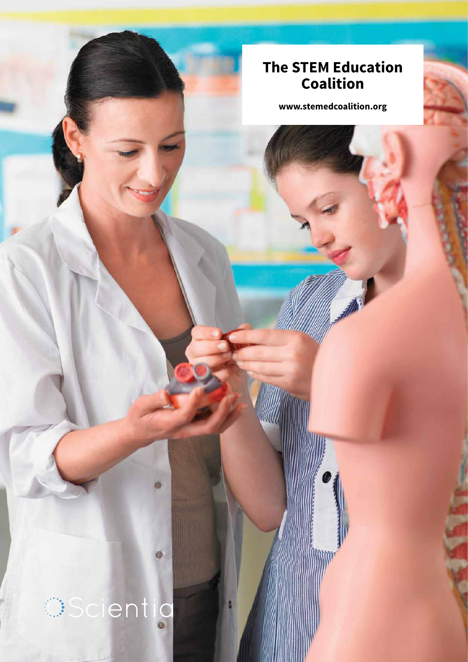### **The STEM Education Coalition**

**www.stemedcoalition.org**

# **Scientio**

63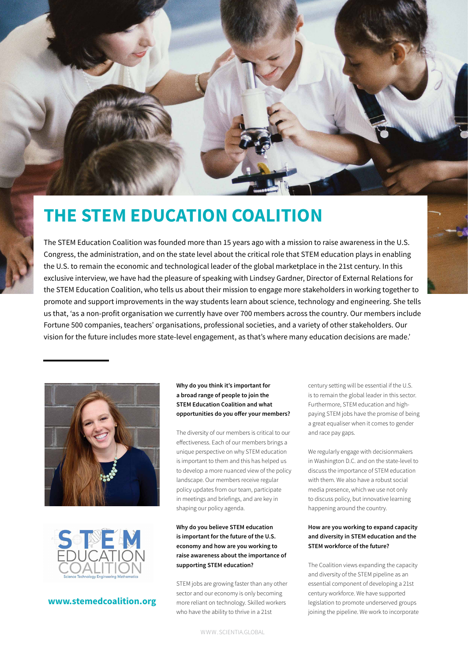

## **THE STEM EDUCATION COALITION**

The STEM Education Coalition was founded more than 15 years ago with a mission to raise awareness in the U.S. Congress, the administration, and on the state level about the critical role that STEM education plays in enabling the U.S. to remain the economic and technological leader of the global marketplace in the 21st century. In this exclusive interview, we have had the pleasure of speaking with Lindsey Gardner, Director of External Relations for the STEM Education Coalition, who tells us about their mission to engage more stakeholders in working together to promote and support improvements in the way students learn about science, technology and engineering. She tells us that, 'as a non-profit organisation we currently have over 700 members across the country. Our members include Fortune 500 companies, teachers' organisations, professional societies, and a variety of other stakeholders. Our vision for the future includes more state-level engagement, as that's where many education decisions are made.'





#### **www.stemedcoalition.org**

#### **Why do you think it's important for a broad range of people to join the STEM Education Coalition and what opportunities do you offer your members?**

The diversity of our members is critical to our effectiveness. Each of our members brings a unique perspective on why STEM education is important to them and this has helped us to develop a more nuanced view of the policy landscape. Our members receive regular policy updates from our team, participate in meetings and briefings, and are key in shaping our policy agenda.

#### **Why do you believe STEM education is important for the future of the U.S. economy and how are you working to raise awareness about the importance of supporting STEM education?**

STEM jobs are growing faster than any other sector and our economy is only becoming more reliant on technology. Skilled workers who have the ability to thrive in a 21st

century setting will be essential if the U.S. is to remain the global leader in this sector. Furthermore, STEM education and highpaying STEM jobs have the promise of being a great equaliser when it comes to gender and race pay gaps.

We regularly engage with decisionmakers in Washington D.C. and on the state-level to discuss the importance of STEM education with them. We also have a robust social media presence, which we use not only to discuss policy, but innovative learning happening around the country.

#### **How are you working to expand capacity and diversity in STEM education and the STEM workforce of the future?**

The Coalition views expanding the capacity and diversity of the STEM pipeline as an essential component of developing a 21st century workforce. We have supported legislation to promote underserved groups joining the pipeline. We work to incorporate